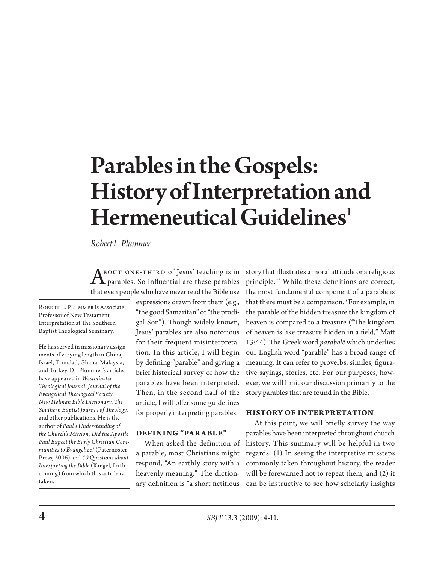# Parables in the Gospels: History of Interpretation and Hermeneutical Guidelines<sup>1</sup>

*Robert L. Plummer*

BOUT ONE-THIRD of Jesus' teaching is in parables. So influential are these parables that even people who have never read the Bible use

ROBERT L. PLUMMER is Associate Professor of New Testament Interpretation at The Southern Baptist Theological Seminary.

He has served in missionary assignments of varying length in China, Israel, Trinidad, Ghana, Malaysia, and Turkey. Dr. Plummer's articles have appeared in *Westminster Theological Journal*, *Journal of the Evangelical Theological Society*, *New Holman Bible Dictionary*, *The Southern Baptist Journal of Theology*, and other publications. He is the author of *Paul's Understanding of the Church's Mission: Did the Apostle Paul Expect the Early Christian Communities to Evangelize?* (Paternoster Press, 2006) and *40 Questions about Interpreting the Bible* (Kregel, forthcoming) from which this article is taken.

expressions drawn from them (e.g., "the good Samaritan" or "the prodigal Son"). Though widely known, Jesus' parables are also notorious for their frequent misinterpretation. In this article, I will begin by defining "parable" and giving a brief historical survey of how the parables have been interpreted. Then, in the second half of the article, I will offer some guidelines for properly interpreting parables.

## **DEFINING "PARABLE"**

When asked the definition of a parable, most Christians might respond, "An earthly story with a heavenly meaning." The dictionstory that illustrates a moral attitude or a religious principle."2 While these definitions are correct, the most fundamental component of a parable is that there must be a comparison.3 For example, in the parable of the hidden treasure the kingdom of heaven is compared to a treasure ("The kingdom of heaven is like treasure hidden in a field," Matt 13:44). The Greek word *parabolē* which underlies our English word "parable" has a broad range of meaning. It can refer to proverbs, similes, figurative sayings, stories, etc. For our purposes, however, we will limit our discussion primarily to the story parables that are found in the Bible.

## **History of Interpretation**

ary definition is "a short fictitious can be instructive to see how scholarly insights At this point, we will briefly survey the way parables have been interpreted throughout church history. This summary will be helpful in two regards: (1) In seeing the interpretive missteps commonly taken throughout history, the reader will be forewarned not to repeat them; and (2) it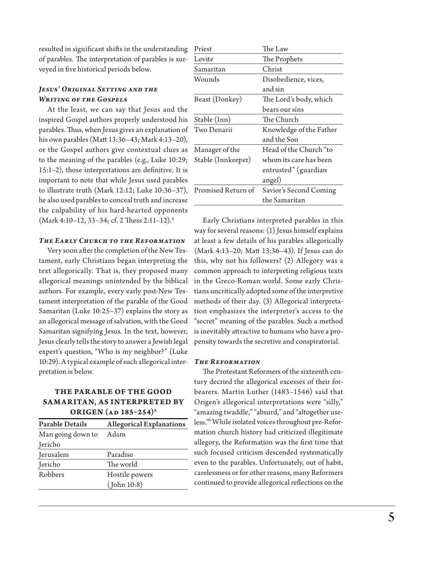resulted in significant shifts in the understanding of parables. The interpretation of parables is surveyed in five historical periods below.

## *Jesus' Original Setting and the Writing of the Gospels*

At the least, we can say that Jesus and the inspired Gospel authors properly understood his parables. Thus, when Jesus gives an explanation of his own parables (Matt 13:36–43; Mark 4:13–20), or the Gospel authors give contextual clues as to the meaning of the parables (e.g., Luke 10:29; 15:1–2), those interpretations are definitive. It is important to note that while Jesus used parables to illustrate truth (Mark 12:12; Luke 10:36–37), he also used parables to conceal truth and increase the culpability of his hard-hearted opponents (Mark 4:10–12, 33–34; cf. 2 Thess 2:11–12).4

#### *The Early Church to the Reformation*

Very soon after the completion of the New Testament, early Christians began interpreting the text allegorically. That is, they proposed many allegorical meanings unintended by the biblical authors. For example, every early post-New Testament interpretation of the parable of the Good Samaritan (Luke 10:25–37) explains the story as an allegorical message of salvation, with the Good Samaritan signifying Jesus. In the text, however, Jesus clearly tells the story to answer a Jewish legal expert's question, "Who is my neighbor?" (Luke 10:29). A typical example of such allegorical interpretation is below.

## **THE PARABLE OF THE GOOD Samaritan, as interpreted by ORIGEN** (AD 185-254)<sup>5</sup>

| <b>Parable Details</b> | <b>Allegorical Explanations</b> |
|------------------------|---------------------------------|
| Man going down to      | Adam                            |
| Jericho                |                                 |
| Jerusalem              | Paradise                        |
| Jericho                | The world                       |
| Robbers                | Hostile powers                  |
|                        | (John 10:8)                     |

| Priest             | The Law                 |  |
|--------------------|-------------------------|--|
| Levite             | The Prophets            |  |
| Samaritan          | Christ                  |  |
| Wounds             | Disobedience, vices,    |  |
|                    | and sin                 |  |
| Beast (Donkey)     | The Lord's body, which  |  |
|                    | bears our sins          |  |
| Stable (Inn)       | The Church              |  |
| Two Denarii        | Knowledge of the Father |  |
|                    | and the Son             |  |
| Manager of the     | Head of the Church "to  |  |
| Stable (Innkeeper) | whom its care has been  |  |
|                    | entrusted" (guardian    |  |
|                    | angel)                  |  |
| Promised Return of | Savior's Second Coming  |  |
|                    | the Samaritan           |  |

Early Christians interpreted parables in this way for several reasons: (1) Jesus himself explains at least a few details of his parables allegorically (Mark 4:13–20; Matt 13:36–43). If Jesus can do this, why not his followers? (2) Allegory was a common approach to interpreting religious texts in the Greco-Roman world. Some early Christians uncritically adopted some of the interpretive methods of their day. (3) Allegorical interpretation emphasizes the interpreter's access to the "secret" meaning of the parables. Such a method is inevitably attractive to humans who have a propensity towards the secretive and conspiratorial.

### *The Reformation*

The Protestant Reformers of the sixteenth century decried the allegorical excesses of their forbearers. Martin Luther (1483–1546) said that Origen's allegorical interpretations were "silly," "amazing twaddle," "absurd," and "altogether useless."6 While isolated voices throughout pre-Reformation church history had criticized illegitimate allegory, the Reformation was the first time that such focused criticism descended systematically even to the parables. Unfortunately, out of habit, carelessness or for other reasons, many Reformers continued to provide allegorical reflections on the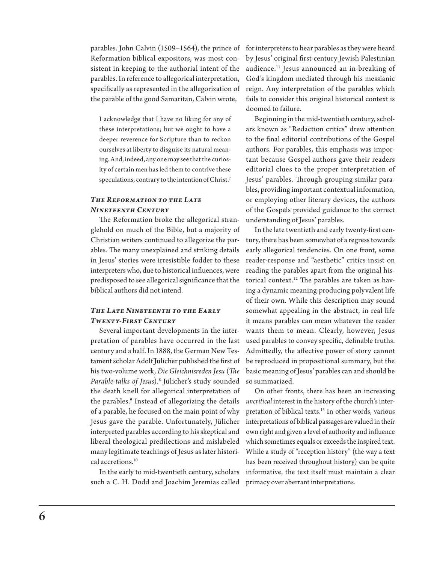parables. John Calvin (1509–1564), the prince of Reformation biblical expositors, was most consistent in keeping to the authorial intent of the parables. In reference to allegorical interpretation, specifically as represented in the allegorization of the parable of the good Samaritan, Calvin wrote,

I acknowledge that I have no liking for any of these interpretations; but we ought to have a deeper reverence for Scripture than to reckon ourselves at liberty to disguise its natural meaning. And, indeed, any one may see that the curiosity of certain men has led them to contrive these speculations, contrary to the intention of Christ.<sup>7</sup>

## *The Reformation to the Late Nineteenth Century*

The Reformation broke the allegorical stranglehold on much of the Bible, but a majority of Christian writers continued to allegorize the parables. The many unexplained and striking details in Jesus' stories were irresistible fodder to these interpreters who, due to historical influences, were predisposed to see allegorical significance that the biblical authors did not intend.

## *The Late Nineteenth to the Early Twenty-First Century*

Several important developments in the interpretation of parables have occurred in the last century and a half. In 1888, the German New Testament scholar Adolf Jülicher published the first of his two-volume work, *Die Gleichnisreden Jesu* (*The Parable-talks of Jesus*).8 Jülicher's study sounded the death knell for allegorical interpretation of the parables.<sup>9</sup> Instead of allegorizing the details of a parable, he focused on the main point of why Jesus gave the parable. Unfortunately, Jülicher interpreted parables according to his skeptical and liberal theological predilections and mislabeled many legitimate teachings of Jesus as later historical accretions.10

such a C. H. Dodd and Joachim Jeremias called primacy over aberrant interpretations.

for interpreters to hear parables as they were heard by Jesus' original first-century Jewish Palestinian audience.11 Jesus announced an in-breaking of God's kingdom mediated through his messianic reign. Any interpretation of the parables which fails to consider this original historical context is doomed to failure.

Beginning in the mid-twentieth century, scholars known as "Redaction critics" drew attention to the final editorial contributions of the Gospel authors. For parables, this emphasis was important because Gospel authors gave their readers editorial clues to the proper interpretation of Jesus' parables. Through grouping similar parables, providing important contextual information, or employing other literary devices, the authors of the Gospels provided guidance to the correct understanding of Jesus' parables.

In the late twentieth and early twenty-first century, there has been somewhat of a regress towards early allegorical tendencies. On one front, some reader-response and "aesthetic" critics insist on reading the parables apart from the original historical context.12 The parables are taken as having a dynamic meaning-producing polyvalent life of their own. While this description may sound somewhat appealing in the abstract, in real life it means parables can mean whatever the reader wants them to mean. Clearly, however, Jesus used parables to convey specific, definable truths. Admittedly, the affective power of story cannot be reproduced in propositional summary, but the basic meaning of Jesus' parables can and should be so summarized.

In the early to mid-twentieth century, scholars informative, the text itself must maintain a clear On other fronts, there has been an increasing *uncritical* interest in the history of the church's interpretation of biblical texts.<sup>13</sup> In other words, various interpretations of biblical passages are valued in their own right and given a level of authority and influence which sometimes equals or exceeds the inspired text. While a study of "reception history" (the way a text has been received throughout history) can be quite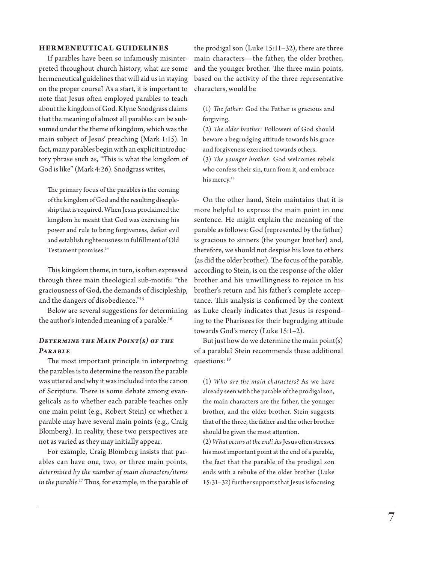#### **Her meneutical Guidelines**

If parables have been so infamously misinterpreted throughout church history, what are some hermeneutical guidelines that will aid us in staying on the proper course? As a start, it is important to note that Jesus often employed parables to teach about the kingdom of God. Klyne Snodgrass claims that the meaning of almost all parables can be subsumed under the theme of kingdom, which was the main subject of Jesus' preaching (Mark 1:15). In fact, many parables begin with an explicit introductory phrase such as, "This is what the kingdom of God is like" (Mark 4:26). Snodgrass writes,

The primary focus of the parables is the coming of the kingdom of God and the resulting discipleship that is required. When Jesus proclaimed the kingdom he meant that God was exercising his power and rule to bring forgiveness, defeat evil and establish righteousness in fulfillment of Old Testament promises.<sup>14</sup>

This kingdom theme, in turn, is often expressed through three main theological sub-motifs: "the graciousness of God, the demands of discipleship, and the dangers of disobedience."15

Below are several suggestions for determining the author's intended meaning of a parable.<sup>16</sup>

## *Determine the Main Point(s) of the Parable*

The most important principle in interpreting the parables is to determine the reason the parable was uttered and why it was included into the canon of Scripture. There is some debate among evangelicals as to whether each parable teaches only one main point (e.g., Robert Stein) or whether a parable may have several main points (e.g., Craig Blomberg). In reality, these two perspectives are not as varied as they may initially appear.

For example, Craig Blomberg insists that parables can have one, two, or three main points, *determined by the number of main characters/items in the parable*. 17 Thus, for example, in the parable of the prodigal son (Luke 15:11–32), there are three main characters—the father, the older brother, and the younger brother. The three main points, based on the activity of the three representative characters, would be

(1) *The father:* God the Father is gracious and forgiving.

(2) *The older brother:* Followers of God should beware a begrudging attitude towards his grace and forgiveness exercised towards others.

(3) *The younger brother:* God welcomes rebels who confess their sin, turn from it, and embrace his mercy.<sup>18</sup>

On the other hand, Stein maintains that it is more helpful to express the main point in one sentence. He might explain the meaning of the parable as follows: God (represented by the father) is gracious to sinners (the younger brother) and, therefore, we should not despise his love to others (as did the older brother). The focus of the parable, according to Stein, is on the response of the older brother and his unwillingness to rejoice in his brother's return and his father's complete acceptance. This analysis is confirmed by the context as Luke clearly indicates that Jesus is responding to the Pharisees for their begrudging attitude towards God's mercy (Luke 15:1–2).

But just how do we determine the main point(s) of a parable? Stein recommends these additional questions: 19

(1) *Who are the main characters?* As we have already seen with the parable of the prodigal son, the main characters are the father, the younger brother, and the older brother. Stein suggests that of the three, the father and the other brother should be given the most attention.

(2) *What occurs at the end?* As Jesus often stresses his most important point at the end of a parable, the fact that the parable of the prodigal son ends with a rebuke of the older brother (Luke 15:31–32) further supports that Jesus is focusing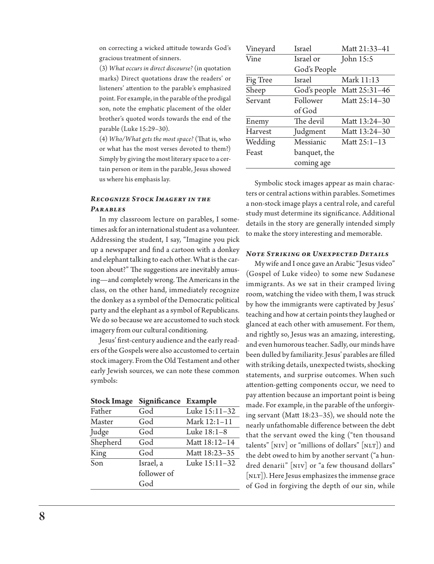on correcting a wicked attitude towards God's gracious treatment of sinners.

(3) *What occurs in direct discourse?* (in quotation marks) Direct quotations draw the readers' or listeners' attention to the parable's emphasized point. For example, in the parable of the prodigal son, note the emphatic placement of the older brother's quoted words towards the end of the parable (Luke 15:29–30).

(4) *Who/What gets the most space?* (That is, who or what has the most verses devoted to them?) Simply by giving the most literary space to a certain person or item in the parable, Jesus showed us where his emphasis lay.

## *Recognize Stock Imagery in the Parables*

In my classroom lecture on parables, I sometimes ask for an international student as a volunteer. Addressing the student, I say, "Imagine you pick up a newspaper and find a cartoon with a donkey and elephant talking to each other. What is the cartoon about?" The suggestions are inevitably amusing—and completely wrong. The Americans in the class, on the other hand, immediately recognize the donkey as a symbol of the Democratic political party and the elephant as a symbol of Republicans. We do so because we are accustomed to such stock imagery from our cultural conditioning.

Jesus' first-century audience and the early readers of the Gospels were also accustomed to certain stock imagery. From the Old Testament and other early Jewish sources, we can note these common symbols:

| <b>Stock Image</b> | Significance Example |               |
|--------------------|----------------------|---------------|
| Father             | God                  | Luke 15:11-32 |
| Master             | God                  | Mark 12:1-11  |
| Judge              | God                  | Luke 18:1-8   |
| Shepherd           | God                  | Matt 18:12-14 |
| King               | God                  | Matt 18:23-35 |
| Son                | Israel, a            | Luke 15:11-32 |
|                    | follower of          |               |
|                    | God                  |               |

| Vineyard       | <b>Israel</b> | Matt 21:33-41  |
|----------------|---------------|----------------|
| Vine           | Israel or     | John 15:5      |
|                | God's People  |                |
| Fig Tree       | <b>Israel</b> | Mark 11:13     |
| Sheep          | God's people  | Matt 25:31-46  |
| Servant        | Follower      | Matt 25:14-30  |
|                | of God        |                |
| Enemy          | The devil     | Matt 13:24-30  |
| <b>Harvest</b> | Judgment      | Matt 13:24-30  |
| Wedding        | Messianic     | Matt $25:1-13$ |
| Feast          | banquet, the  |                |
|                | coming age    |                |

Symbolic stock images appear as main characters or central actions within parables. Sometimes a non-stock image plays a central role, and careful study must determine its significance. Additional details in the story are generally intended simply to make the story interesting and memorable.

### *Note Striking or Unexpected Details*

My wife and I once gave an Arabic "Jesus video" (Gospel of Luke video) to some new Sudanese immigrants. As we sat in their cramped living room, watching the video with them, I was struck by how the immigrants were captivated by Jesus' teaching and how at certain points they laughed or glanced at each other with amusement. For them, and rightly so, Jesus was an amazing, interesting, and even humorous teacher. Sadly, our minds have been dulled by familiarity. Jesus' parables are filled with striking details, unexpected twists, shocking statements, and surprise outcomes. When such attention-getting components occur, we need to pay attention because an important point is being made. For example, in the parable of the unforgiving servant (Matt 18:23–35), we should note the nearly unfathomable difference between the debt that the servant owed the king ("ten thousand talents"  $\lceil NIV \rceil$  or "millions of dollars"  $\lceil NLT \rceil$ ) and the debt owed to him by another servant ("a hundred denarii" [niv] or "a few thousand dollars"  $\lceil$ NLT $\rceil$ ). Here Jesus emphasizes the immense grace of God in forgiving the depth of our sin, while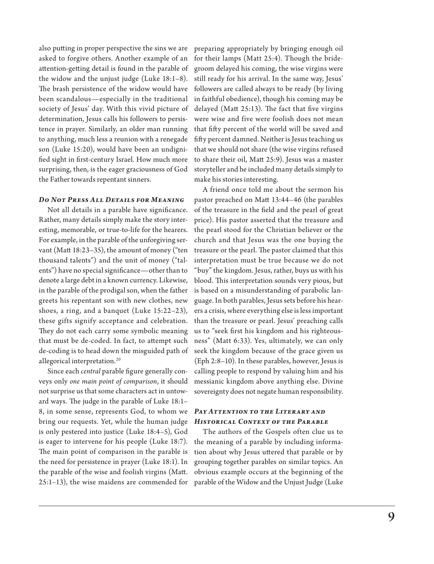also putting in proper perspective the sins we are asked to forgive others. Another example of an attention-getting detail is found in the parable of the widow and the unjust judge (Luke 18:1–8). The brash persistence of the widow would have been scandalous—especially in the traditional society of Jesus' day. With this vivid picture of determination, Jesus calls his followers to persistence in prayer. Similarly, an older man running to anything, much less a reunion with a renegade son (Luke 15:20), would have been an undignified sight in first-century Israel. How much more surprising, then, is the eager graciousness of God the Father towards repentant sinners.

### *Do Not Press All Details for Meaning*

Not all details in a parable have significance. Rather, many details simply make the story interesting, memorable, or true-to-life for the hearers. For example, in the parable of the unforgiving servant (Matt 18:23–35), the amount of money ("ten thousand talents") and the unit of money ("talents") have no special significance—other than to denote a large debt in a known currency. Likewise, in the parable of the prodigal son, when the father greets his repentant son with new clothes, new shoes, a ring, and a banquet (Luke 15:22–23), these gifts signify acceptance and celebration. They do not each carry some symbolic meaning that must be de-coded. In fact, to attempt such de-coding is to head down the misguided path of allegorical interpretation.20

Since each *central* parable figure generally conveys only *one main point of comparison*, it should not surprise us that some characters act in untoward ways. The judge in the parable of Luke 18:1– 8, in some sense, represents God, to whom we bring our requests. Yet, while the human judge is only pestered into justice (Luke 18:4–5), God is eager to intervene for his people (Luke 18:7). The main point of comparison in the parable is the need for persistence in prayer (Luke 18:1). In the parable of the wise and foolish virgins (Matt. 25:1–13), the wise maidens are commended for

preparing appropriately by bringing enough oil for their lamps (Matt 25:4). Though the bridegroom delayed his coming, the wise virgins were still ready for his arrival. In the same way, Jesus' followers are called always to be ready (by living in faithful obedience), though his coming may be delayed (Matt 25:13). The fact that five virgins were wise and five were foolish does not mean that fifty percent of the world will be saved and fifty percent damned. Neither is Jesus teaching us that we should not share (the wise virgins refused to share their oil, Matt 25:9). Jesus was a master storyteller and he included many details simply to make his stories interesting.

A friend once told me about the sermon his pastor preached on Matt 13:44–46 (the parables of the treasure in the field and the pearl of great price). His pastor asserted that the treasure and the pearl stood for the Christian believer or the church and that Jesus was the one buying the treasure or the pearl. The pastor claimed that this interpretation must be true because we do not "buy" the kingdom. Jesus, rather, buys us with his blood. This interpretation sounds very pious, but is based on a misunderstanding of parabolic language. In both parables, Jesus sets before his hearers a crisis, where everything else is less important than the treasure or pearl. Jesus' preaching calls us to "seek first his kingdom and his righteousness" (Matt 6:33). Yes, ultimately, we can only seek the kingdom because of the grace given us (Eph 2:8–10). In these parables, however, Jesus is calling people to respond by valuing him and his messianic kingdom above anything else. Divine sovereignty does not negate human responsibility.

## *Pay Attention to the Literary and Historical Context of the Parable*

The authors of the Gospels often clue us to the meaning of a parable by including information about why Jesus uttered that parable or by grouping together parables on similar topics. An obvious example occurs at the beginning of the parable of the Widow and the Unjust Judge (Luke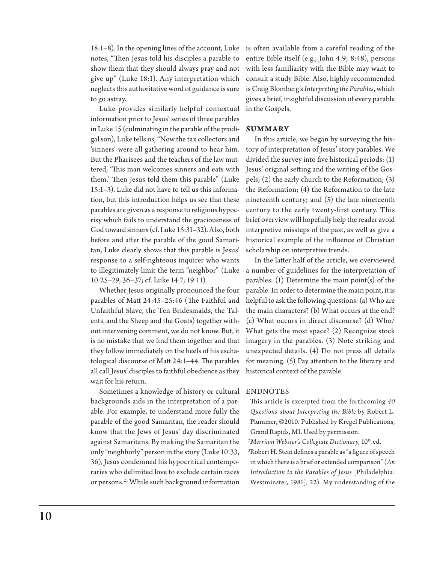18:1–8). In the opening lines of the account, Luke is often available from a careful reading of the notes, "Then Jesus told his disciples a parable to show them that they should always pray and not give up" (Luke 18:1). Any interpretation which to go astray.

Luke provides similarly helpful contextual in the Gospels. information prior to Jesus' series of three parables in Luke 15 (culminating in the parable of the prodigal son), Luke tells us, "Now the tax collectors and 'sinners' were all gathering around to hear him. But the Pharisees and the teachers of the law muttered, 'This man welcomes sinners and eats with them.' Then Jesus told them this parable" (Luke 15:1–3). Luke did not have to tell us this information, but this introduction helps us see that these parables are given as a response to religious hypocrisy which fails to understand the graciousness of God toward sinners (cf. Luke 15:31–32). Also, both before and after the parable of the good Samaritan, Luke clearly shows that this parable is Jesus' response to a self-righteous inquirer who wants to illegitimately limit the term "neighbor" (Luke 10:25–29, 36–37; cf. Luke 14:7; 19:11).

Whether Jesus originally pronounced the four parables of Matt 24:45–25:46 (The Faithful and Unfaithful Slave, the Ten Bridesmaids, the Talents, and the Sheep and the Goats) together without intervening comment, we do not know. But, it is no mistake that we find them together and that they follow immediately on the heels of his eschatological discourse of Matt 24:1–44. The parables all call Jesus' disciples to faithful obedience as they wait for his return.

Sometimes a knowledge of history or cultural backgrounds aids in the interpretation of a parable. For example, to understand more fully the parable of the good Samaritan, the reader should know that the Jews of Jesus' day discriminated against Samaritans. By making the Samaritan the only "neighborly" person in the story (Luke 10:33, 36), Jesus condemned his hypocritical contemporaries who delimited love to exclude certain races or persons.<sup>21</sup> While such background information

neglects this authoritative word of guidance is sure is Craig Blomberg's *Interpreting the Parables*, which entire Bible itself (e.g., John 4:9; 8:48), persons with less familiarity with the Bible may want to consult a study Bible. Also, highly recommended gives a brief, insightful discussion of every parable

#### **Summary**

In this article, we began by surveying the history of interpretation of Jesus' story parables. We divided the survey into five historical periods: (1) Jesus' original setting and the writing of the Gospels; (2) the early church to the Reformation; (3) the Reformation; (4) the Reformation to the late nineteenth century; and (5) the late nineteenth century to the early twenty-first century. This brief overview will hopefully help the reader avoid interpretive missteps of the past, as well as give a historical example of the influence of Christian scholarship on interpretive trends.

In the latter half of the article, we overviewed a number of guidelines for the interpretation of parables: (1) Determine the main point(s) of the parable. In order to determine the main point, it is helpful to ask the following questions: (a) Who are the main characters? (b) What occurs at the end? (c) What occurs in direct discourse? (d) Who/ What gets the most space? (2) Recognize stock imagery in the parables. (3) Note striking and unexpected details. (4) Do not press all details for meaning. (5) Pay attention to the literary and historical context of the parable.

#### **ENDNOTES**

1 This article is excerpted from the forthcoming *40 Questions about Interpreting the Bible* by Robert L. Plummer, ©2010. Published by Kregel Publications, Grand Rapids, MI. Used by permission.

<sup>2</sup>Merriam Webster's Collegiate Dictionary, 10<sup>th</sup> ed.

3 Robert H. Stein defines a parable as "a figure of speech in which there is a brief or extended comparison" (*An Introduction to the Parables of Jesus* [Philadelphia: Westminster, 1981], 22). My understanding of the